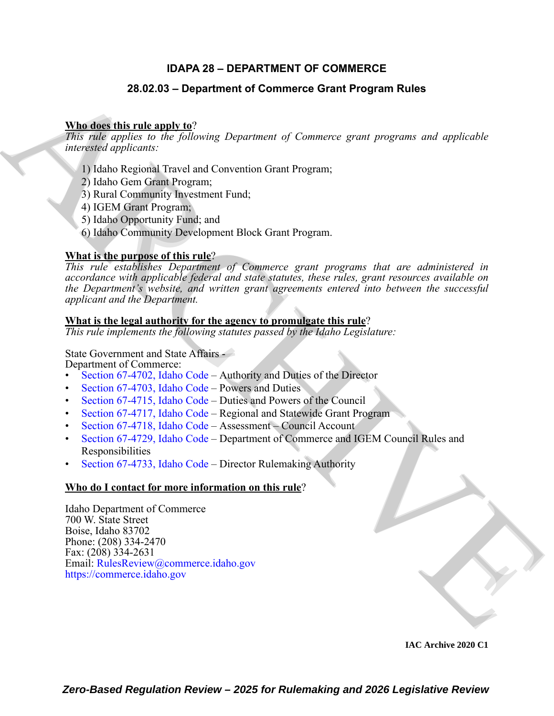### **IDAPA 28 – DEPARTMENT OF COMMERCE**

### **28.02.03 – Department of Commerce Grant Program Rules**

#### **Who does this rule apply to**?

*This rule applies to the following Department of Commerce grant programs and applicable interested applicants:*

- 1) Idaho Regional Travel and Convention Grant Program;
- 2) Idaho Gem Grant Program;
- 3) Rural Community Investment Fund;
- 4) IGEM Grant Program;
- 5) Idaho Opportunity Fund; and
- 6) Idaho Community Development Block Grant Program.

#### **What is the purpose of this rule**?

**28.02.03 - Department of [C](https://legislature.idaho.gov/statutesrules/idstat/Title67/T67CH47/SECT67-4702/)ommerce Grant Program Rules<br>
Mike disc this male the Joinving Department of Consumere grant programs and applicable<br>
11 plates Regional Theodore (and Rules Consumer Consumer and applicable<br>
11 p** *This rule establishes Department of Commerce grant programs that are administered in accordance with applicable federal and state statutes, these rules, grant resources available on the Department's website, and written grant agreements entered into between the successful applicant and the Department.*

#### **What is the legal authority for the agency to promulgate this rule**?

*This rule implements the following statutes passed by the Idaho Legislature:*

State Government and State Affairs -

Department of Commerce:

- Section 67-4702, Idaho Code Authority and Duties of the Director
- Section 67-4703, Idaho Code Powers and Duties
- Section 67-4715, Idaho Code Duties and Powers of the Council
- Section 67-4717, Idaho Code Regional and Statewide Grant Program
- Section 67-4718, Idaho Code Assessment Council Account
- Section 67-4729, Idaho Code Department of Commerce and IGEM Council Rules and Responsibilities
- Section 67-4733, Idaho Code Director Rulemaking Authority

#### **Who do I contact for more information on this rule**?

Idaho Department of Commerce 700 W. State Street Boise, Idaho 83702 Phone: (208) 334-2470 Fax: (208) 334-2631 Email: RulesReview@commerce.idaho.gov https://commerce.idaho.gov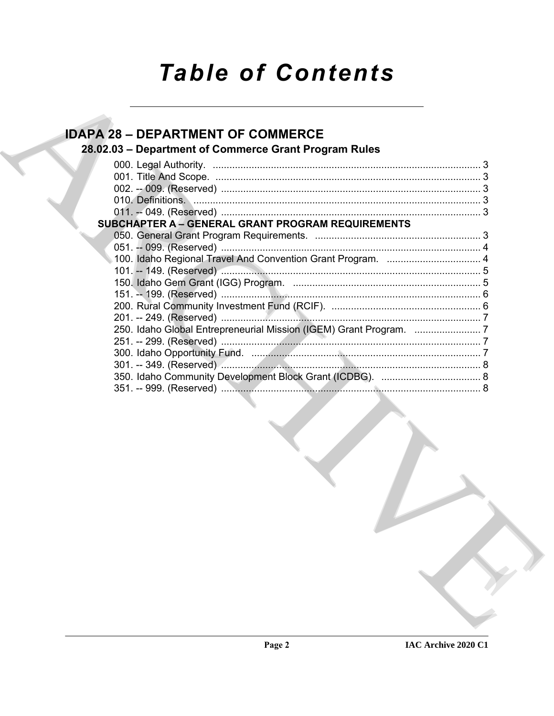# **Table of Contents**

## **IDAPA 28 - DEPARTMENT OF COMMERCE**

## 28.02.03 - Department of Commerce Grant Program Rules

| <b>SUBCHAPTER A - GENERAL GRANT PROGRAM REQUIREMENTS</b> |  |  |
|----------------------------------------------------------|--|--|
|                                                          |  |  |
|                                                          |  |  |
|                                                          |  |  |
|                                                          |  |  |
|                                                          |  |  |
|                                                          |  |  |
|                                                          |  |  |
|                                                          |  |  |
|                                                          |  |  |
|                                                          |  |  |
|                                                          |  |  |
|                                                          |  |  |
|                                                          |  |  |
|                                                          |  |  |
|                                                          |  |  |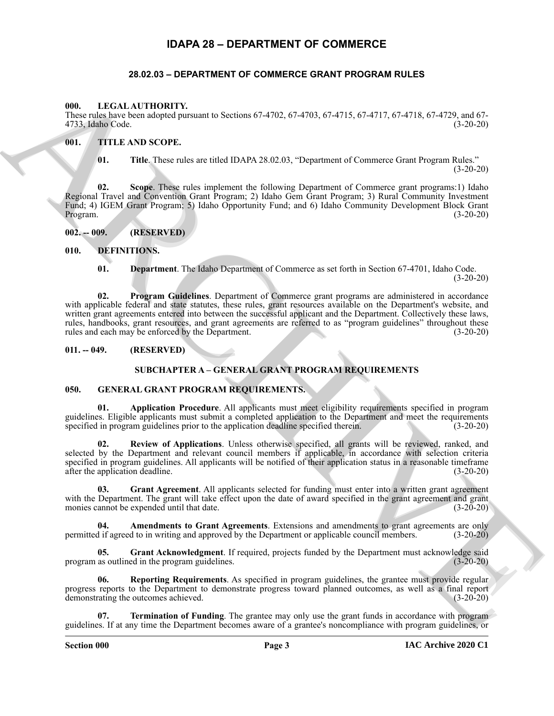#### **IDAPA 28 – DEPARTMENT OF COMMERCE**

#### **28.02.03 – DEPARTMENT OF COMMERCE GRANT PROGRAM RULES**

#### <span id="page-2-20"></span><span id="page-2-2"></span><span id="page-2-1"></span><span id="page-2-0"></span>**000. LEGAL AUTHORITY.**

These rules have been adopted pursuant to Sections 67-4702, 67-4703, 67-4715, 67-4717, 67-4718, 67-4729, and 67- 4733, Idaho Code.

#### <span id="page-2-3"></span>**001. TITLE AND SCOPE.**

<span id="page-2-21"></span>**01. Title**. These rules are titled IDAPA 28.02.03, "Department of Commerce Grant Program Rules." (3-20-20)

**02. Scope**. These rules implement the following Department of Commerce grant programs:1) Idaho Regional Travel and Convention Grant Program; 2) Idaho Gem Grant Program; 3) Rural Community Investment Fund; 4) IGEM Grant Program; 5) Idaho Opportunity Fund; and 6) Idaho Community Development Block Grant Program. (3-20-20)

<span id="page-2-4"></span>**002. -- 009. (RESERVED)**

#### <span id="page-2-5"></span>**010. DEFINITIONS.**

<span id="page-2-11"></span><span id="page-2-10"></span><span id="page-2-9"></span>**01. Department**. The Idaho Department of Commerce as set forth in Section 67-4701, Idaho Code. (3-20-20)

606. I. I. F.A. A. (11111064). The method is a bottom of  $\sim$ 4713,  $\psi$ -4713,  $\psi$ -4713,  $\psi$ -4713,  $\psi$ -4713,  $\psi$ -4713,  $\psi$ -4713,  $\psi$ -4713,  $\psi$ -4713,  $\psi$ -4713,  $\psi$ -4713,  $\psi$ -4713,  $\psi$ -4713,  $\psi$ -4713,  $\psi$ -4713, **02. Program Guidelines**. Department of Commerce grant programs are administered in accordance with applicable federal and state statutes, these rules, grant resources available on the Department's website, and written grant agreements entered into between the successful applicant and the Department. Collectively these laws, rules, handbooks, grant resources, and grant agreements are referred to as "program guidelines" throughout these rules and each may be enforced by the Department. rules and each may be enforced by the Department.

#### <span id="page-2-7"></span><span id="page-2-6"></span>**011. -- 049. (RESERVED)**

#### <span id="page-2-14"></span>**SUBCHAPTER A – GENERAL GRANT PROGRAM REQUIREMENTS**

#### <span id="page-2-12"></span><span id="page-2-8"></span>**050. GENERAL GRANT PROGRAM REQUIREMENTS.**

**01. Application Procedure**. All applicants must meet eligibility requirements specified in program guidelines. Eligible applicants must submit a completed application to the Department and meet the requirements specified in program guidelines prior to the application deadline specified therein. (3-20-20)

<span id="page-2-18"></span>**02. Review of Applications**. Unless otherwise specified, all grants will be reviewed, ranked, and selected by the Department and relevant council members if applicable, in accordance with selection criteria specified in program guidelines. All applicants will be notified of their application status in a reasonable timeframe after the application deadline. (3-20-20)

<span id="page-2-16"></span>**03. Grant Agreement**. All applicants selected for funding must enter into a written grant agreement with the Department. The grant will take effect upon the date of award specified in the grant agreement and grant monies cannot be expended until that date.  $(3-20-20)$ 

<span id="page-2-13"></span>**04. Amendments to Grant Agreements**. Extensions and amendments to grant agreements are only permitted if agreed to in writing and approved by the Department or applicable council members. (3-20-20)

<span id="page-2-15"></span>**05. Grant Acknowledgment**. If required, projects funded by the Department must acknowledge said program as outlined in the program guidelines. (3-20-20)

<span id="page-2-17"></span>**06. Reporting Requirements**. As specified in program guidelines, the grantee must provide regular progress reports to the Department to demonstrate progress toward planned outcomes, as well as a final report demonstrating the outcomes achieved. (3-20-20)

<span id="page-2-19"></span>**07. Termination of Funding**. The grantee may only use the grant funds in accordance with program guidelines. If at any time the Department becomes aware of a grantee's noncompliance with program guidelines, or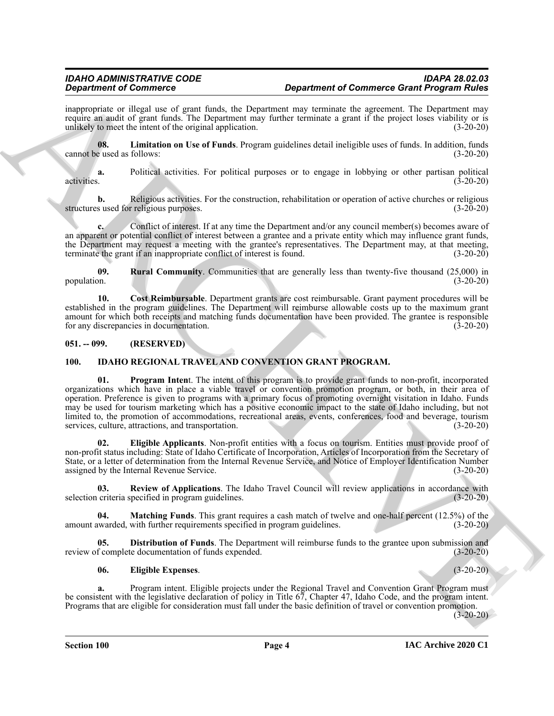inappropriate or illegal use of grant funds, the Department may terminate the agreement. The Department may require an audit of grant funds. The Department may further terminate a grant if the project loses viability or is unlikely to meet the intent of the original application. (3-20-20)

<span id="page-3-3"></span>**08. Limitation on Use of Funds**. Program guidelines detail ineligible uses of funds. In addition, funds cannot be used as follows: (3-20-20)

**a.** Political activities. For political purposes or to engage in lobbying or other partisan political activities. (3-20-20)

**b.** Religious activities. For the construction, rehabilitation or operation of active churches or religious structures used for religious purposes. (3-20-20)

Conflict of interest. If at any time the Department and/or any council member(s) becomes aware of an apparent or potential conflict of interest between a grantee and a private entity which may influence grant funds, the Department may request a meeting with the grantee's representatives. The Department may, at that meeting, terminate the grant if an inappropriate conflict of interest is found. (3-20-20) terminate the grant if an inappropriate conflict of interest is found.

<span id="page-3-4"></span>**09. Rural Community**. Communities that are generally less than twenty-five thousand (25,000) in population. (3-20-20)

<span id="page-3-2"></span>**10. Cost Reimbursable**. Department grants are cost reimbursable. Grant payment procedures will be established in the program guidelines. The Department will reimburse allowable costs up to the maximum grant amount for which both receipts and matching funds documentation have been provided. The grantee is responsible for any discrepancies in documentation. (3-20-20)

#### <span id="page-3-0"></span>**051. -- 099. (RESERVED)**

#### <span id="page-3-10"></span><span id="page-3-5"></span><span id="page-3-1"></span>**100. IDAHO REGIONAL TRAVEL AND CONVENTION GRANT PROGRAM.**

**Experiment of Commutes contributes** and the properties and the properties of Commutes and the properties and the properties and the properties are not the properties and the properties are not the properties are not the **01. Program Inten**t. The intent of this program is to provide grant funds to non-profit, incorporated organizations which have in place a viable travel or convention promotion program, or both, in their area of operation. Preference is given to programs with a primary focus of promoting overnight visitation in Idaho. Funds may be used for tourism marketing which has a positive economic impact to the state of Idaho including, but not limited to, the promotion of accommodations, recreational areas, events, conferences, food and beverage, tourism services, culture, attractions, and transportation. (3-20-20)

<span id="page-3-7"></span>**02. Eligible Applicants**. Non-profit entities with a focus on tourism. Entities must provide proof of non-profit status including: State of Idaho Certificate of Incorporation, Articles of Incorporation from the Secretary of State, or a letter of determination from the Internal Revenue Service, and Notice of Employer Identification Number assigned by the Internal Revenue Service. (3-20-20)

<span id="page-3-11"></span>**03.** Review of Applications. The Idaho Travel Council will review applications in accordance with criteria specified in program guidelines. (3-20-20) selection criteria specified in program guidelines.

<span id="page-3-9"></span>**04. Matching Funds**. This grant requires a cash match of twelve and one-half percent (12.5%) of the amount awarded, with further requirements specified in program guidelines. (3-20-20)

**05. Distribution of Funds**. The Department will reimburse funds to the grantee upon submission and f complete documentation of funds expended. (3-20-20) review of complete documentation of funds expended.

#### <span id="page-3-8"></span><span id="page-3-6"></span>**06. Eligible Expenses**. (3-20-20)

**a.** Program intent. Eligible projects under the Regional Travel and Convention Grant Program must be consistent with the legislative declaration of policy in Title 67, Chapter 47, Idaho Code, and the program intent. Programs that are eligible for consideration must fall under the basic definition of travel or convention promotion.

 $(3-20-20)$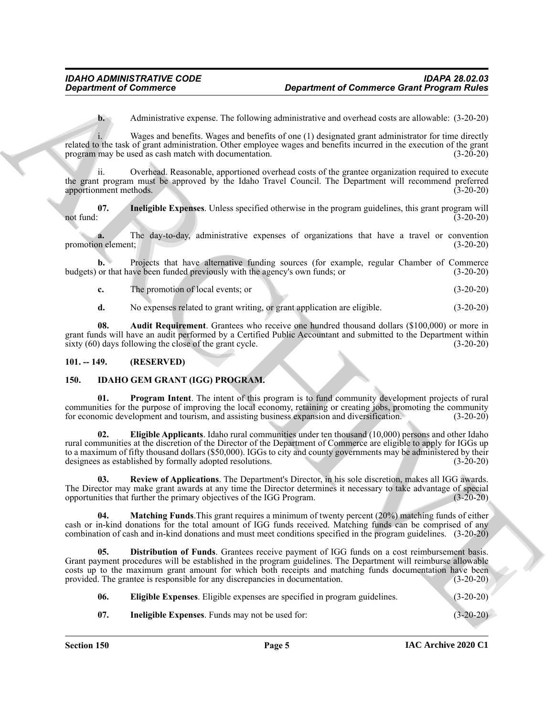**b.** Administrative expense. The following administrative and overhead costs are allowable: (3-20-20)

Wages and benefits. Wages and benefits of one (1) designated grant administrator for time directly related to the task of grant administration. Other employee wages and benefits incurred in the execution of the grant program may be used as cash match with documentation. (3-20-20)

Overhead. Reasonable, apportioned overhead costs of the grantee organization required to execute the grant program must be approved by the Idaho Travel Council. The Department will recommend preferred apportionment methods. (3-20-20)

<span id="page-4-11"></span>**07. Ineligible Expenses**. Unless specified otherwise in the program guidelines, this grant program will not fund:  $(3-20-20)$ 

**a.** The day-to-day, administrative expenses of organizations that have a travel or convention element; (3-20-20) promotion element;

**b.** Projects that have alternative funding sources (for example, regular Chamber of Commerce budgets) or that have been funded previously with the agency's own funds; or (3-20-20)

**c.** The promotion of local events; or (3-20-20)

<span id="page-4-10"></span>**d.** No expenses related to grant writing, or grant application are eligible. (3-20-20)

**08. Audit Requirement**. Grantees who receive one hundred thousand dollars (\$100,000) or more in grant funds will have an audit performed by a Certified Public Accountant and submitted to the Department within sixty (60) days following the close of the grant cycle. (3-20-20)

#### <span id="page-4-0"></span>**101. -- 149. (RESERVED)**

#### <span id="page-4-2"></span><span id="page-4-1"></span>**150. IDAHO GEM GRANT (IGG) PROGRAM.**

<span id="page-4-8"></span><span id="page-4-4"></span>**01. Program Intent**. The intent of this program is to fund community development projects of rural communities for the purpose of improving the local economy, retaining or creating jobs, promoting the community for economic development and tourism, and assisting business expansion and diversification. (3-20-20) for economic development and tourism, and assisting business expansion and diversification.

**Experiment of Communication Communication Communication (Experiment of Communication (Experiment Of Communication (Experiment Of Communication (Experiment Of Communication (Experiment Of Communication (Experiment Of Comm 02. Eligible Applicants**. Idaho rural communities under ten thousand (10,000) persons and other Idaho rural communities at the discretion of the Director of the Department of Commerce are eligible to apply for IGGs up to a maximum of fifty thousand dollars (\$50,000). IGGs to city and county governments may be administered by their<br>designees as established by formally adopted resolutions. (3-20-20) designees as established by formally adopted resolutions.

<span id="page-4-9"></span>**03. Review of Applications**. The Department's Director, in his sole discretion, makes all IGG awards. The Director may make grant awards at any time the Director determines it necessary to take advantage of special opportunities that further the primary objectives of the IGG Program. (3-20-20) opportunities that further the primary objectives of the IGG Program.

<span id="page-4-7"></span>**04. Matching Funds**.This grant requires a minimum of twenty percent (20%) matching funds of either cash or in-kind donations for the total amount of IGG funds received. Matching funds can be comprised of any combination of cash and in-kind donations and must meet conditions specified in the program guidelines. (3-20-20)

**05. Distribution of Funds**. Grantees receive payment of IGG funds on a cost reimbursement basis. Grant payment procedures will be established in the program guidelines. The Department will reimburse allowable costs up to the maximum grant amount for which both receipts and matching funds documentation have been provided. The grantee is responsible for any discrepancies in documentation. (3-20-20)

- <span id="page-4-5"></span><span id="page-4-3"></span>**06. Eligible Expenses**. Eligible expenses are specified in program guidelines. (3-20-20)
- <span id="page-4-6"></span>**07. Ineligible Expenses**. Funds may not be used for: (3-20-20)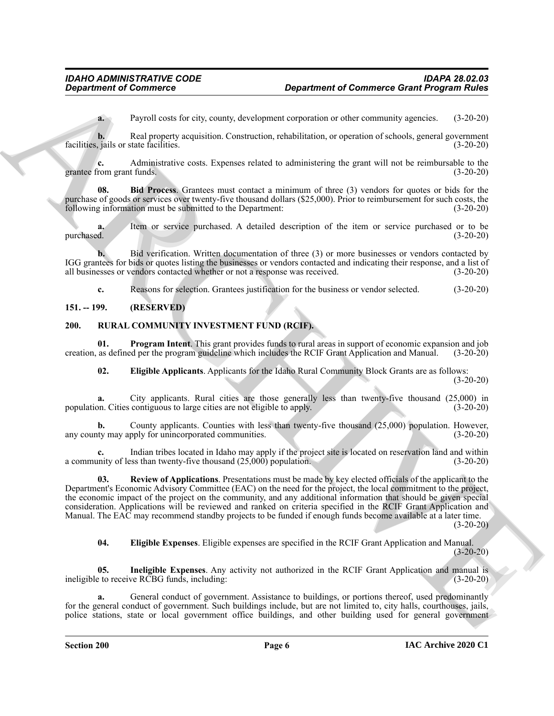**a.** Payroll costs for city, county, development corporation or other community agencies. (3-20-20)

**b.** Real property acquisition. Construction, rehabilitation, or operation of schools, general government is in this or state facilities.  $(3-20-20)$ facilities, jails or state facilities.

**c.** Administrative costs. Expenses related to administering the grant will not be reimbursable to the from grant funds. (3-20-20) grantee from grant funds.

<span id="page-5-2"></span>**08. Bid Process**. Grantees must contact a minimum of three (3) vendors for quotes or bids for the purchase of goods or services over twenty-five thousand dollars (\$25,000). Prior to reimbursement for such costs, the following information must be submitted to the Department: (3-20-20) following information must be submitted to the Department:

**a.** Item or service purchased. A detailed description of the item or service purchased or to be purchased. (3-20-20)

**b.** Bid verification. Written documentation of three (3) or more businesses or vendors contacted by IGG grantees for bids or quotes listing the businesses or vendors contacted and indicating their response, and a list of all businesses or vendors contacted whether or not a response was received. (3-20-20)

<span id="page-5-3"></span>**c.** Reasons for selection. Grantees justification for the business or vendor selected. (3-20-20)

#### <span id="page-5-0"></span>**151. -- 199. (RESERVED)**

#### <span id="page-5-1"></span>**200. RURAL COMMUNITY INVESTMENT FUND (RCIF).**

**01. Program Intent**. This grant provides funds to rural areas in support of economic expansion and job creation, as defined per the program guideline which includes the RCIF Grant Application and Manual. (3-20-20)

<span id="page-5-7"></span><span id="page-5-4"></span>**02. Eligible Applicants**. Applicants for the Idaho Rural Community Block Grants are as follows: (3-20-20)

**a.** City applicants. Rural cities are those generally less than twenty-five thousand (25,000) in population. Cities contiguous to large cities are not eligible to apply. (3-20-20)

**b.** County applicants. Counties with less than twenty-five thousand (25,000) population. However, ty may apply for unincorporated communities.  $(3-20-20)$ any county may apply for unincorporated communities.

<span id="page-5-8"></span>Indian tribes located in Idaho may apply if the project site is located on reservation land and within ress than twenty-five thousand (25,000) population. (3-20-20) a community of less than twenty-five thousand  $(25,000)$  population.

**Expansion of Communication Communication Communication Communication (2018)**<br> **Consider the expansion of the construction of the communication of the expansion of the expansion of the expansion of the expansion of the ex 03. Review of Applications**. Presentations must be made by key elected officials of the applicant to the Department's Economic Advisory Committee (EAC) on the need for the project, the local commitment to the project, the economic impact of the project on the community, and any additional information that should be given special consideration. Applications will be reviewed and ranked on criteria specified in the RCIF Grant Application and Manual. The EAC may recommend standby projects to be funded if enough funds become available at a later time. (3-20-20)

<span id="page-5-6"></span><span id="page-5-5"></span>**04. Eligible Expenses**. Eligible expenses are specified in the RCIF Grant Application and Manual.  $(3-20-20)$ 

**05. Ineligible Expenses**. Any activity not authorized in the RCIF Grant Application and manual is ineligible to receive RCBG funds, including: (3-20-20)

**a.** General conduct of government. Assistance to buildings, or portions thereof, used predominantly for the general conduct of government. Such buildings include, but are not limited to, city halls, courthouses, jails, police stations, state or local government office buildings, and other building used for general government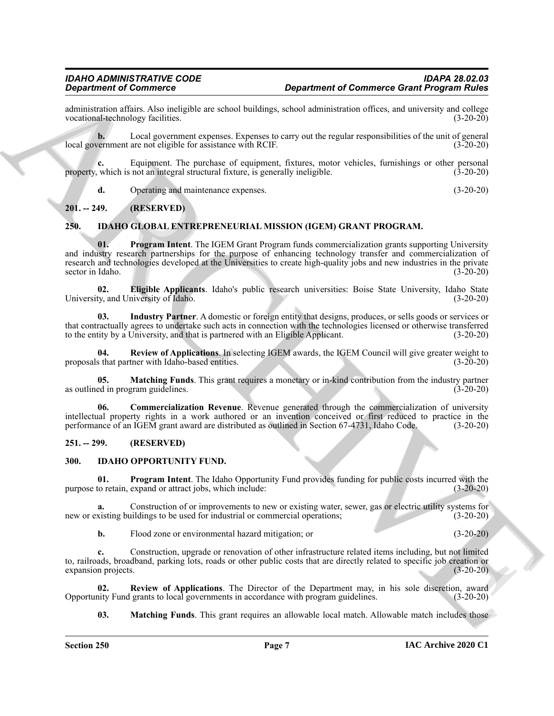administration affairs. Also ineligible are school buildings, school administration offices, and university and college vocational-technology facilities. (3-20-20) vocational-technology facilities.

**b.** Local government expenses. Expenses to carry out the regular responsibilities of the unit of general local government are not eligible for assistance with RCIF. (3-20-20)

**c.** Equipment. The purchase of equipment, fixtures, motor vehicles, furnishings or other personal which is not an integral structural fixture, is generally ineligible. (3-20-20) property, which is not an integral structural fixture, is generally ineligible.

<span id="page-6-9"></span><span id="page-6-4"></span>**d.** Operating and maintenance expenses. (3-20-20)

#### <span id="page-6-0"></span>**201. -- 249. (RESERVED)**

#### <span id="page-6-1"></span>**250. IDAHO GLOBAL ENTREPRENEURIAL MISSION (IGEM) GRANT PROGRAM.**

**Experimental of Communication** (**Communication** distribution (**Communication** distribution (**Communication** distribution) and the experimental of the experimental of the experimental of the experimental of the experime **01. Program Intent**. The IGEM Grant Program funds commercialization grants supporting University and industry research partnerships for the purpose of enhancing technology transfer and commercialization of research and technologies developed at the Universities to create high-quality jobs and new industries in the private sector in Idaho. (3-20-20)

<span id="page-6-6"></span>**02. Eligible Applicants**. Idaho's public research universities: Boise State University, Idaho State University, and University of Idaho.

<span id="page-6-7"></span>**03. Industry Partner**. A domestic or foreign entity that designs, produces, or sells goods or services or that contractually agrees to undertake such acts in connection with the technologies licensed or otherwise transferred<br>to the entity by a University, and that is partnered with an Eligible Applicant. (3-20-20) to the entity by a University, and that is partnered with an Eligible Applicant.

<span id="page-6-10"></span>**04. Review of Applications**. In selecting IGEM awards, the IGEM Council will give greater weight to proposals that partner with Idaho-based entities.

<span id="page-6-8"></span>**05. Matching Funds**. This grant requires a monetary or in-kind contribution from the industry partner as outlined in program guidelines. (3-20-20)

<span id="page-6-5"></span>**06. Commercialization Revenue**. Revenue generated through the commercialization of university intellectual property rights in a work authored or an invention conceived or first reduced to practice in the performance of an IGEM grant award are distributed as outlined in Section 67-4731, Idaho Code. (3-20-20)

#### <span id="page-6-2"></span>**251. -- 299. (RESERVED)**

#### <span id="page-6-11"></span><span id="page-6-3"></span>**300. IDAHO OPPORTUNITY FUND.**

<span id="page-6-13"></span>**01. Program Intent**. The Idaho Opportunity Fund provides funding for public costs incurred with the purpose to retain, expand or attract jobs, which include: (3-20-20)

**a.** Construction of or improvements to new or existing water, sewer, gas or electric utility systems for visiting buildings to be used for industrial or commercial operations; (3-20-20) new or existing buildings to be used for industrial or commercial operations;

**b.** Flood zone or environmental hazard mitigation; or (3-20-20)

**c.** Construction, upgrade or renovation of other infrastructure related items including, but not limited to, railroads, broadband, parking lots, roads or other public costs that are directly related to specific job creation or expansion projects. (3-20-20)

**02.** Review of Applications. The Director of the Department may, in his sole discretion, award nity Fund grants to local governments in accordance with program guidelines. (3-20-20) Opportunity Fund grants to local governments in accordance with program guidelines.

<span id="page-6-14"></span><span id="page-6-12"></span>**03.** Matching Funds. This grant requires an allowable local match. Allowable match includes those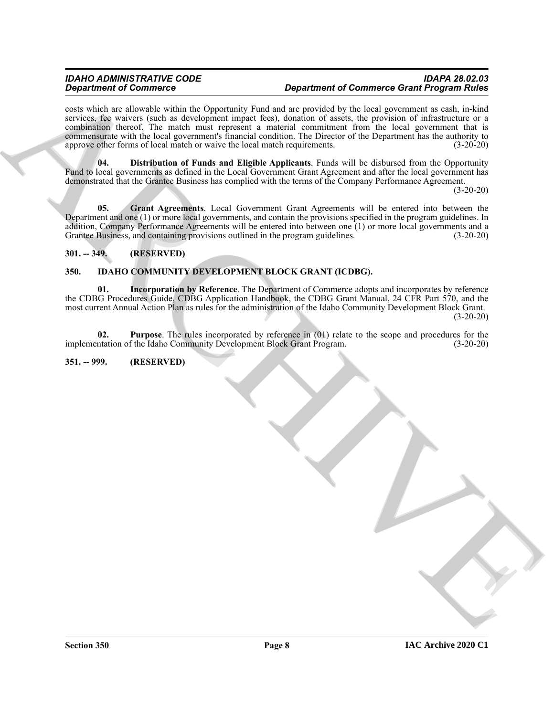#### *IDAHO ADMINISTRATIVE CODE IDAPA 28.02.03 Department of Commerce Department of Commerce Grant Program Rules*

**Commercial and the system of Commercial Commercial Commercial Commercial Commercial Commercial Commercial Commercial Commercial Commercial Commercial Commercial Commercial Commercial Commercial Commercial Commercial Comm** costs which are allowable within the Opportunity Fund and are provided by the local government as cash, in-kind services, fee waivers (such as development impact fees), donation of assets, the provision of infrastructure or a combination thereof. The match must represent a material commitment from the local government that is commensurate with the local government's financial condition. The Director of the Department has the authority to approve other forms of local match or waive the local match requirements. (3-20-20)

<span id="page-7-6"></span>**04. Distribution of Funds and Eligible Applicants**. Funds will be disbursed from the Opportunity Fund to local governments as defined in the Local Government Grant Agreement and after the local government has demonstrated that the Grantee Business has complied with the terms of the Company Performance Agreement.

(3-20-20)

<span id="page-7-7"></span>**05. Grant Agreements**. Local Government Grant Agreements will be entered into between the Department and one (1) or more local governments, and contain the provisions specified in the program guidelines. In addition, Company Performance Agreements will be entered into between one (1) or more local governments and a Grantee Business, and containing provisions outlined in the program guidelines. (3-20-20) (3-20-20)

#### <span id="page-7-0"></span>**301. -- 349. (RESERVED)**

#### <span id="page-7-3"></span><span id="page-7-1"></span>**350. IDAHO COMMUNITY DEVELOPMENT BLOCK GRANT (ICDBG).**

<span id="page-7-4"></span>**01. Incorporation by Reference**. The Department of Commerce adopts and incorporates by reference the CDBG Procedures Guide, CDBG Application Handbook, the CDBG Grant Manual, 24 CFR Part 570, and the most current Annual Action Plan as rules for the administration of the Idaho Community Development Block Grant.  $(3-20-20)$ 

<span id="page-7-5"></span>**02. Purpose**. The rules incorporated by reference in (01) relate to the scope and procedures for the implementation of the Idaho Community Development Block Grant Program. (3-20-20)

#### <span id="page-7-2"></span>**351. -- 999. (RESERVED)**